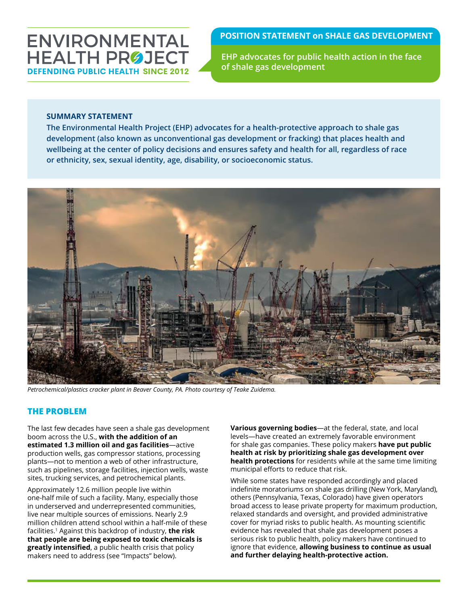# ENVIRONMENTAL **HEALTH PROJECT DEFENDING PUBLIC HEALTH SINCE 201:**

## **POSITION STATEMENT on SHALE GAS DEVELOPMENT**

**EHP advocates for public health action in the face of shale gas development**

### **SUMMARY STATEMENT**

**The Environmental Health Project (EHP) advocates for a health-protective approach to shale gas development (also known as unconventional gas development or fracking) that places health and wellbeing at the center of policy decisions and ensures safety and health for all, regardless of race or ethnicity, sex, sexual identity, age, disability, or socioeconomic status.**



*Petrochemical/plastics cracker plant in Beaver County, PA. Photo courtesy of Teake Zuidema.*

## **THE PROBLEM**

The last few decades have seen a shale gas development boom across the U.S., **with the addition of an estimated 1.3 million oil and gas facilities**—active production wells, gas compressor stations, processing plants—not to mention a web of other infrastructure, such as pipelines, storage facilities, injection wells, waste sites, trucking services, and petrochemical plants.

Approximately 12.6 million people live within one-half mile of such a facility. Many, especially those in underserved and underrepresented communities, live near multiple sources of emissions. Nearly 2.9 million children attend school within a half-mile of these facilities.1 Against this backdrop of industry, **the risk that people are being exposed to toxic chemicals is greatly intensified**, a public health crisis that policy makers need to address (see "Impacts" below).

**Various governing bodies**—at the federal, state, and local levels—have created an extremely favorable environment for shale gas companies. These policy makers **have put public health at risk by prioritizing shale gas development over health protections** for residents while at the same time limiting municipal efforts to reduce that risk.

While some states have responded accordingly and placed indefinite moratoriums on shale gas drilling (New York, Maryland), others (Pennsylvania, Texas, Colorado) have given operators broad access to lease private property for maximum production, relaxed standards and oversight, and provided administrative cover for myriad risks to public health. As mounting scientific evidence has revealed that shale gas development poses a serious risk to public health, policy makers have continued to ignore that evidence, **allowing business to continue as usual and further delaying health-protective action.**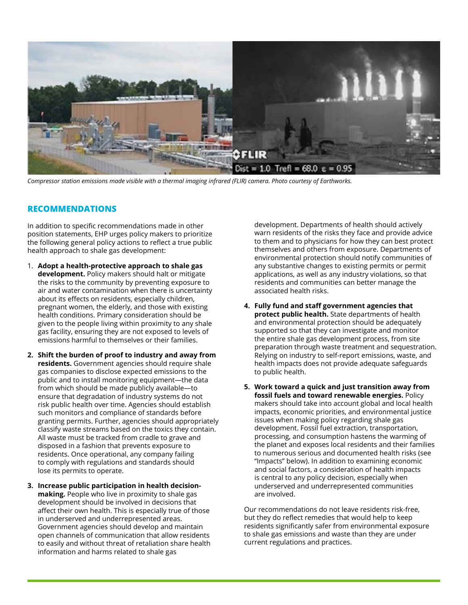

*Compressor station emissions made visible with a thermal imaging infrared (FLIR) camera. Photo courtesy of Earthworks.* 

#### **RECOMMENDATIONS**

In addition to specific recommendations made in other position statements, EHP urges policy makers to prioritize the following general policy actions to reflect a true public health approach to shale gas development:

- 1. **Adopt a health-protective approach to shale gas development.** Policy makers should halt or mitigate the risks to the community by preventing exposure to air and water contamination when there is uncertainty about its effects on residents, especially children, pregnant women, the elderly, and those with existing health conditions. Primary consideration should be given to the people living within proximity to any shale gas facility, ensuring they are not exposed to levels of emissions harmful to themselves or their families.
- **2. Shift the burden of proof to industry and away from residents.** Government agencies should require shale gas companies to disclose expected emissions to the public and to install monitoring equipment—the data from which should be made publicly available—to ensure that degradation of industry systems do not risk public health over time. Agencies should establish such monitors and compliance of standards before granting permits. Further, agencies should appropriately classify waste streams based on the toxics they contain. All waste must be tracked from cradle to grave and disposed in a fashion that prevents exposure to residents. Once operational, any company failing to comply with regulations and standards should lose its permits to operate.
- **3. Increase public participation in health decisionmaking.** People who live in proximity to shale gas development should be involved in decisions that affect their own health. This is especially true of those in underserved and underrepresented areas. Government agencies should develop and maintain open channels of communication that allow residents to easily and without threat of retaliation share health information and harms related to shale gas

development. Departments of health should actively warn residents of the risks they face and provide advice to them and to physicians for how they can best protect themselves and others from exposure. Departments of environmental protection should notify communities of any substantive changes to existing permits or permit applications, as well as any industry violations, so that residents and communities can better manage the associated health risks.

- **4. Fully fund and staff government agencies that protect public health.** State departments of health and environmental protection should be adequately supported so that they can investigate and monitor the entire shale gas development process, from site preparation through waste treatment and sequestration. Relying on industry to self-report emissions, waste, and health impacts does not provide adequate safeguards to public health.
- **5. Work toward a quick and just transition away from fossil fuels and toward renewable energies.** Policy makers should take into account global and local health impacts, economic priorities, and environmental justice issues when making policy regarding shale gas development. Fossil fuel extraction, transportation, processing, and consumption hastens the warming of the planet and exposes local residents and their families to numerous serious and documented health risks (see "Impacts" below). In addition to examining economic and social factors, a consideration of health impacts is central to any policy decision, especially when underserved and underrepresented communities are involved.

Our recommendations do not leave residents risk-free, but they do reflect remedies that would help to keep residents significantly safer from environmental exposure to shale gas emissions and waste than they are under current regulations and practices.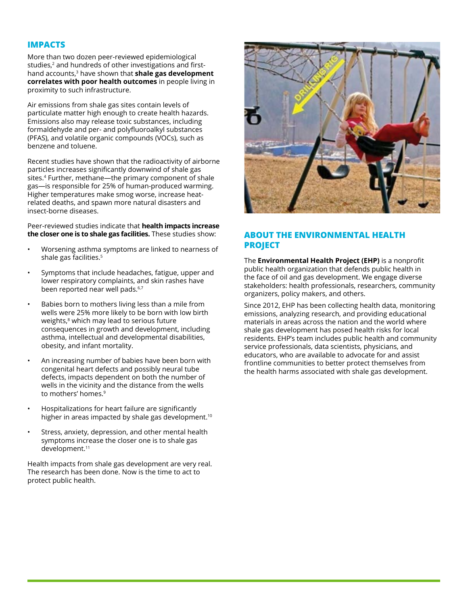#### **IMPACTS**

More than two dozen peer-reviewed epidemiological studies,<sup>2</sup> and hundreds of other investigations and firsthand accounts,3 have shown that **shale gas development correlates with poor health outcomes** in people living in proximity to such infrastructure.

Air emissions from shale gas sites contain levels of particulate matter high enough to create health hazards. Emissions also may release toxic substances, including formaldehyde and per- and polyfluoroalkyl substances (PFAS), and volatile organic compounds (VOCs), such as benzene and toluene.

Recent studies have shown that the radioactivity of airborne particles increases significantly downwind of shale gas sites.4 Further, methane—the primary component of shale gas—is responsible for 25% of human-produced warming. Higher temperatures make smog worse, increase heatrelated deaths, and spawn more natural disasters and insect-borne diseases.

#### Peer-reviewed studies indicate that **health impacts increase the closer one is to shale gas facilities.** These studies show:

- Worsening asthma symptoms are linked to nearness of shale gas facilities.<sup>5</sup>
- Symptoms that include headaches, fatigue, upper and lower respiratory complaints, and skin rashes have been reported near well pads.<sup>6,7</sup>
- Babies born to mothers living less than a mile from wells were 25% more likely to be born with low birth weights,<sup>8</sup> which may lead to serious future consequences in growth and development, including asthma, intellectual and developmental disabilities, obesity, and infant mortality.
- An increasing number of babies have been born with congenital heart defects and possibly neural tube defects, impacts dependent on both the number of wells in the vicinity and the distance from the wells to mothers' homes.9
- Hospitalizations for heart failure are significantly higher in areas impacted by shale gas development.<sup>10</sup>
- Stress, anxiety, depression, and other mental health symptoms increase the closer one is to shale gas development.<sup>11</sup>

Health impacts from shale gas development are very real. The research has been done. Now is the time to act to protect public health.



### **ABOUT THE ENVIRONMENTAL HEALTH PROJECT**

The **Environmental Health Project (EHP)** is a nonprofit public health organization that defends public health in the face of oil and gas development. We engage diverse stakeholders: health professionals, researchers, community organizers, policy makers, and others.

Since 2012, EHP has been collecting health data, monitoring emissions, analyzing research, and providing educational materials in areas across the nation and the world where shale gas development has posed health risks for local residents. EHP's team includes public health and community service professionals, data scientists, physicians, and educators, who are available to advocate for and assist frontline communities to better protect themselves from the health harms associated with shale gas development.